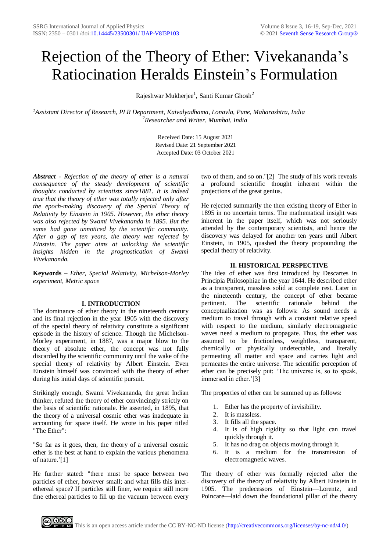# Rejection of the Theory of Ether: Vivekananda's Ratiocination Heralds Einstein's Formulation

Rajeshwar Mukherjee<sup>1</sup>, Santi Kumar Ghosh<sup>2</sup>

*<sup>1</sup>Assistant Director of Research, PLR Department, Kaivalyadhama, Lonavla, Pune, Maharashtra, India* <sup>2</sup>*Researcher and Writer, Mumbai, India*

> Received Date: 15 August 2021 Revised Date: 21 September 2021 Accepted Date: 03 October 2021

*Abstract - Rejection of the theory of ether is a natural consequence of the steady development of scientific thoughts conducted by scientists since1881. It is indeed true that the theory of ether was totally rejected only after the epoch-making discovery of the Special Theory of Relativity by Einstein in 1905. However, the ether theory was also rejected by Swami Vivekananda in 1895. But the same had gone unnoticed by the scientific community. After a gap of ten years, the theory was rejected by Einstein. The paper aims at unlocking the scientific insights hidden in the prognostication of Swami Vivekananda.*

**Keywords –** *Ether, Special Relativity, Michelson-Morley experiment, Metric space*

## **I. INTRODUCTION**

The dominance of ether theory in the nineteenth century and its final rejection in the year 1905 with the discovery of the special theory of relativity constitute a significant episode in the history of science. Though the Michelson-Morley experiment, in 1887, was a major blow to the theory of absolute ether, the concept was not fully discarded by the scientific community until the wake of the special theory of relativity by Albert Einstein. Even Einstein himself was convinced with the theory of ether during his initial days of scientific pursuit.

Strikingly enough, Swami Vivekananda, the great Indian thinker, refuted the theory of ether convincingly strictly on the basis of scientific rationale. He asserted, in 1895, that the theory of a universal cosmic ether was inadequate in accounting for space itself. He wrote in his paper titled "The Ether":

"So far as it goes, then, the theory of a universal cosmic ether is the best at hand to explain the various phenomena of nature.'[1]

He further stated: "there must be space between two particles of ether, however small; and what fills this interethereal space? If particles still finer, we require still more fine ethereal particles to fill up the vacuum between every two of them, and so on."[2] The study of his work reveals a profound scientific thought inherent within the projections of the great genius.

He rejected summarily the then existing theory of Ether in 1895 in no uncertain terms. The mathematical insight was inherent in the paper itself, which was not seriously attended by the contemporary scientists, and hence the discovery was delayed for another ten years until Albert Einstein, in 1905, quashed the theory propounding the special theory of relativity.

# **II. HISTORICAL PERSPECTIVE**

The idea of ether was first introduced by Descartes in Principia Philosophiae in the year 1644. He described ether as a transparent, massless solid at complete rest. Later in the nineteenth century, the concept of ether became pertinent. The scientific rationale behind the conceptualization was as follows: As sound needs a medium to travel through with a constant relative speed with respect to the medium, similarly electromagnetic waves need a medium to propagate. Thus, the ether was assumed to be frictionless, weightless, transparent, chemically or physically undetectable, and literally permeating all matter and space and carries light and permeates the entire universe. The scientific perception of ether can be precisely put: 'The universe is, so to speak, immersed in ether.'[3]

The properties of ether can be summed up as follows:

- 1. Ether has the property of invisibility.
- 2. It is massless.
- 3. It fills all the space.
- 4. It is of high rigidity so that light can travel quickly through it.
- 5. It has no drag on objects moving through it.
- 6. It is a medium for the transmission of electromagnetic waves.

The theory of ether was formally rejected after the discovery of the theory of relativity by Albert Einstein in 1905. The predecessors of Einstein—Lorentz, and Poincare—laid down the foundational pillar of the theory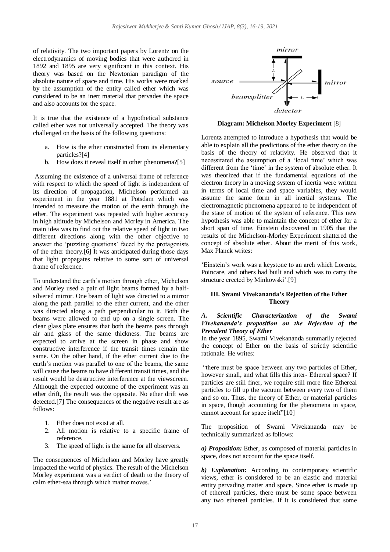of relativity. The two important papers by Lorentz on the electrodynamics of moving bodies that were authored in 1892 and 1895 are very significant in this context. His theory was based on the Newtonian paradigm of the absolute nature of space and time. His works were marked by the assumption of the entity called ether which was considered to be an inert material that pervades the space and also accounts for the space.

It is true that the existence of a hypothetical substance called ether was not universally accepted. The theory was challenged on the basis of the following questions:

- a. How is the ether constructed from its elementary particles?[4]
- b. How does it reveal itself in other phenomena?[5]

Assuming the existence of a universal frame of reference with respect to which the speed of light is independent of its direction of propagation, Michelson performed an experiment in the year 1881 at Potsdam which was intended to measure the motion of the earth through the ether. The experiment was repeated with higher accuracy in high altitude by Michelson and Morley in America. The main idea was to find out the relative speed of light in two different directions along with the other objective to answer the 'puzzling questions' faced by the protagonists of the ether theory.[6] It was anticipated during those days that light propagates relative to some sort of universal frame of reference.

To understand the earth's motion through ether, Michelson and Morley used a pair of light beams formed by a halfsilvered mirror. One beam of light was directed to a mirror along the path parallel to the ether current, and the other was directed along a path perpendicular to it. Both the beams were allowed to end up on a single screen. The clear glass plate ensures that both the beams pass through air and glass of the same thickness. The beams are expected to arrive at the screen in phase and show constructive interference if the transit times remain the same. On the other hand, if the ether current due to the earth's motion was parallel to one of the beams, the same will cause the beams to have different transit times, and the result would be destructive interference at the viewscreen. Although the expected outcome of the experiment was an ether drift, the result was the opposite. No ether drift was detected.[7] The consequences of the negative result are as follows:

- 1. Ether does not exist at all.
- 2. All motion is relative to a specific frame of reference.
- 3. The speed of light is the same for all observers.

The consequences of Michelson and Morley have greatly impacted the world of physics. The result of the Michelson Morley experiment was a verdict of death to the theory of calm ether-sea through which matter moves.'



**Diagram: Michelson Morley Experiment** [8]

Lorentz attempted to introduce a hypothesis that would be able to explain all the predictions of the ether theory on the basis of the theory of relativity. He observed that it necessitated the assumption of a 'local time' which was different from the 'time' in the system of absolute ether. It was theorized that if the fundamental equations of the electron theory in a moving system of inertia were written in terms of local time and space variables, they would assume the same form in all inertial systems. The electromagnetic phenomena appeared to be independent of the state of motion of the system of reference. This new hypothesis was able to maintain the concept of ether for a short span of time. Einstein discovered in 1905 that the results of the Michelson-Morley Experiment shattered the concept of absolute ether. About the merit of this work, Max Planck writes:

'Einstein's work was a keystone to an arch which Lorentz, Poincare, and others had built and which was to carry the structure erected by Minkowski'.[9]

#### **III. Swami Vivekananda's Rejection of the Ether Theory**

## *A. Scientific Characterization of the Swami Vivekananda's proposition on the Rejection of the Prevalent Theory of Ether*

In the year 1895, Swami Vivekananda summarily rejected the concept of Ether on the basis of strictly scientific rationale. He writes:

"there must be space between any two particles of Ether, however small, and what fills this inter- Ethereal space? If particles are still finer, we require still more fine Ethereal particles to fill up the vacuum between every two of them and so on. Thus, the theory of Ether, or material particles in space, though accounting for the phenomena in space, cannot account for space itself"[10]

The proposition of Swami Vivekananda may be technically summarized as follows:

*a) Proposition:* Ether, as composed of material particles in space, does not account for the space itself.

*b) Explanation***:** According to contemporary scientific views, ether is considered to be an elastic and material entity pervading matter and space. Since ether is made up of ethereal particles, there must be some space between any two ethereal particles. If it is considered that some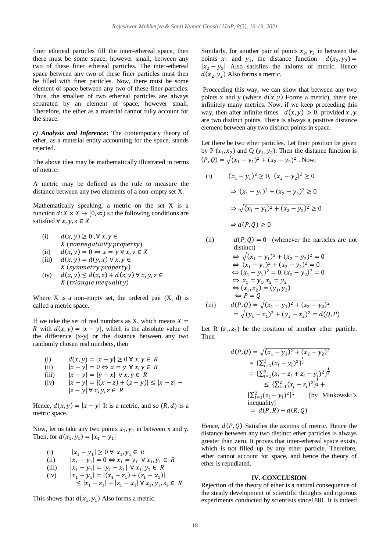finer ethereal particles fill the inter-ethereal space, then there must be some space, however small, between any two of these finer ethereal particles. The inter-ethereal space between any two of these finer particles must then be filled with finer particles. Now, there must be some element of space between any two of these finer particles. Thus, the smallest of two ethereal particles are always separated by an element of space, however small. Therefore, the ether as a material cannot fully account for the space.

*c) Analysis and Inference***:** The contemporary theory of ether, as a material entity accounting for the space, stands rejected.

The above idea may be mathematically illustrated in terms of metric:

A metric may be defined as the rule to measure the distance between any two elements of a non-empty set X.

Mathematically speaking, a metric on the set X is a function  $d: X \times X \to [0, \infty)$  s.t the following conditions are satisfied  $\forall x, y, z \in X$ 

- (i)  $d(x, y) \geq 0$ ,  $\forall x, y \in$  $X$  (nonnegativity property)
- (ii)  $d(x, y) = 0 \Leftrightarrow x = y \forall x, y \in X$
- (iii)  $d(x, y) = d(y, x) \forall x, y \in$ X (symmetry property)
- (iv)  $d(x, y) \leq d(x, z) + d(z, y) \forall x, y, z \in$ X (triangle inequality)

Where  $X$  is a non-empty set, the ordered pair  $(X, d)$  is called a metric space.

If we take the set of real numbers as X, which means  $X =$ R with  $d(x, y) = |x - y|$ , which is the absolute value of the difference (x-y) or the distance between any two randomly chosen real numbers, then

- (i)  $d(x, y) = |x y| \ge 0 \forall x, y \in R$
- (ii)  $|x y| = 0 \Leftrightarrow x = y \forall x, y \in R$
- (iii)  $|x y| = |y x| \forall x, y \in R$
- (iv)  $|x y| = |(x z) + (z y)| \le |x z| +$  $|z - y| \forall x, y, z \in R$

Hence,  $d(x, y) = |x - y|$  It is a metric, and so  $(R, d)$  is a metric space.

Now, let us take any two points  $x_1, y_1$  in between x and y. Then, for  $d(x_1, y_1) = |x_1 - y_1|$ 

(i) 
$$
|x_1 - y_1| \ge 0 \forall x_1, y_1 \in R
$$
  
\n(ii)  $|x_1 - y_1| = 0 \Leftrightarrow x_1 = y_1 \forall x_1, y_1 \in R$   
\n(iii)  $|x_1 - y_1| = |y_1 - x_1| \forall x_1, y_1 \in R$   
\n(iv)  $|x_1 - y_1| = |(x_1 - z_1) + (z_1 - x_1)|$   
\n $\le |x_1 - z_1| + |z_1 - x_1| \forall x_1, y_1, z_1 \in R$ 

This shows that  $d(x_1, y_1)$  Also forms a metric.

Similarly, for another pair of points  $x_2, y_2$  in between the points  $x_1$  and  $y_1$ , the distance function  $d(x_2, y_2) =$  $|x_2 - y_2|$  Also satisfies the axioms of metric. Hence  $d(x_2, y_2)$  Also forms a metric.

Proceeding this way, we can show that between any two points x and y (where  $d(x, y)$  Forms a metric), there are infinitely many metrics. Now, if we keep proceeding this way, then after infinite times  $d(x, y) > 0$ , provided x, y are two distinct points. There is always a positive distance element between any two distinct points in space.

Let there be two ether particles. Let their position be given by P  $(x_1, x_2)$  and Q  $(y_1, y_2)$ . Then the distance function is  $(P, Q) = \sqrt{(x_1 - y_1)^2 + (x_2 - y_2)^2}$ . Now,

(i) 
$$
(x_1 - y_1)^2 \ge 0
$$
,  $(x_2 - y_2)^2 \ge 0$   
\n $\Rightarrow (x_1 - y_1)^2 + (x_2 - y_2)^2 \ge 0$   
\n $\Rightarrow \sqrt{(x_1 - y_1)^2 + (x_2 - y_2)^2} \ge 0$   
\n $\Rightarrow d(P, Q) \ge 0$ 

(ii) 
$$
d(P,Q) = 0
$$
 (whenever the particles are not  
distinct)  
 $\Leftrightarrow \sqrt{(x_1 - y_1)^2 + (x_2 - y_2)^2} = 0$   
 $\Leftrightarrow (x_1 - y_1)^2 + (x_2 - y_2)^2 = 0$   
 $\Leftrightarrow (x_1 - y_1)^2 = 0, (x_2 - y_2)^2 = 0$   
 $\Leftrightarrow x_1 = y_1, x_2 = y_2$   
 $\Leftrightarrow (x_1, x_2) = (y_1, y_2)$   
 $\Leftrightarrow P = Q$   
(iii)  $d(P,Q) = \sqrt{(x_1 - y_1)^2 + (x_2 - y_2)^2}$   
 $= \sqrt{(y_1 - x_1)^2 + (y_2 - x_2)^2} = d(Q, P)$ 

Let R  $(z_1, z_2)$  be the position of another ether particle. Then

$$
d(P, Q) = \sqrt{(x_1 - y_1)^2 + (x_2 - y_2)^2}
$$
  
=  $\{\sum_{i=1}^2 (x_i - y_i)^2\}^{\frac{1}{2}}$   
=  $\{\sum_{i=1}^2 (x_i - z_i + z_i - y_i)^2\}^{\frac{1}{2}}$   
 $\leq {\{\sum_{i=1}^2 (x_i - z_i)^2\}^{\frac{1}{2}}} +$   
 $\{\sum_{i=1}^2 (z_i - y_i)^2\}^{\frac{1}{2}}$  [by Minkowski's  
inequality]  
=  $d(P, R) + d(R, Q)$ 

Hence,  $d(P, Q)$  Satisfies the axioms of metric. Hence the distance between any two distinct ether particles is always greater than zero. It proves that inter-ethereal space exists, which is not filled up by any ether particle. Therefore, ether cannot account for space, and hence the theory of ether is repudiated.

#### **IV. CONCLUSION**

Rejection of the theory of ether is a natural consequence of the steady development of scientific thoughts and rigorous experiments conducted by scientists since1881. It is indeed